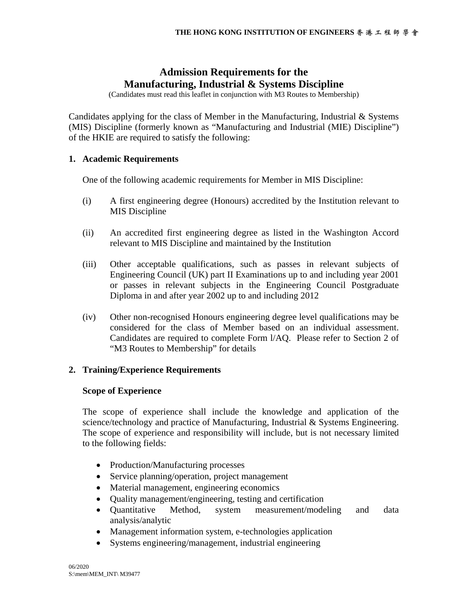# **Admission Requirements for the Manufacturing, Industrial & Systems Discipline**

(Candidates must read this leaflet in conjunction with M3 Routes to Membership)

Candidates applying for the class of Member in the Manufacturing, Industrial & Systems (MIS) Discipline (formerly known as "Manufacturing and Industrial (MIE) Discipline") of the HKIE are required to satisfy the following:

## **1. Academic Requirements**

One of the following academic requirements for Member in MIS Discipline:

- (i) A first engineering degree (Honours) accredited by the Institution relevant to MIS Discipline
- (ii) An accredited first engineering degree as listed in the Washington Accord relevant to MIS Discipline and maintained by the Institution
- (iii) Other acceptable qualifications, such as passes in relevant subjects of Engineering Council (UK) part II Examinations up to and including year 2001 or passes in relevant subjects in the Engineering Council Postgraduate Diploma in and after year 2002 up to and including 2012
- (iv) Other non-recognised Honours engineering degree level qualifications may be considered for the class of Member based on an individual assessment. Candidates are required to complete Form l/AQ. Please refer to Section 2 of "M3 Routes to Membership" for details

# **2. Training/Experience Requirements**

## **Scope of Experience**

The scope of experience shall include the knowledge and application of the science/technology and practice of Manufacturing, Industrial & Systems Engineering. The scope of experience and responsibility will include, but is not necessary limited to the following fields:

- Production/Manufacturing processes
- Service planning/operation, project management
- Material management, engineering economics
- Quality management/engineering, testing and certification
- Quantitative Method, system measurement/modeling and data analysis/analytic
- Management information system, e-technologies application
- Systems engineering/management, industrial engineering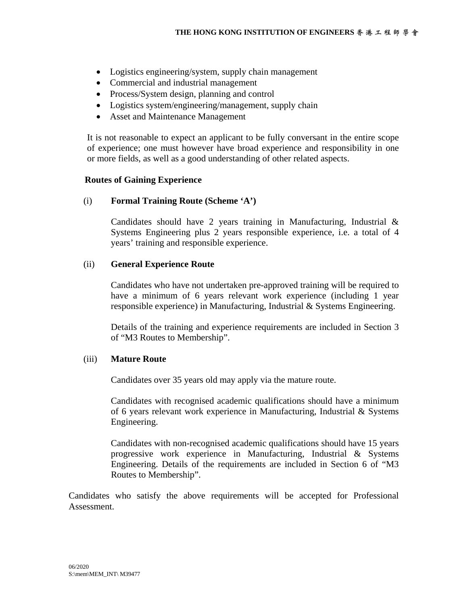- Logistics engineering/system, supply chain management
- Commercial and industrial management
- Process/System design, planning and control
- Logistics system/engineering/management, supply chain
- Asset and Maintenance Management

It is not reasonable to expect an applicant to be fully conversant in the entire scope of experience; one must however have broad experience and responsibility in one or more fields, as well as a good understanding of other related aspects.

## **Routes of Gaining Experience**

(i) **Formal Training Route (Scheme 'A')**

Candidates should have 2 years training in Manufacturing, Industrial & Systems Engineering plus 2 years responsible experience, i.e. a total of 4 years' training and responsible experience.

## (ii) **General Experience Route**

Candidates who have not undertaken pre-approved training will be required to have a minimum of 6 years relevant work experience (including 1 year responsible experience) in Manufacturing, Industrial & Systems Engineering.

Details of the training and experience requirements are included in Section 3 of "M3 Routes to Membership".

## (iii) **Mature Route**

Candidates over 35 years old may apply via the mature route.

Candidates with recognised academic qualifications should have a minimum of 6 years relevant work experience in Manufacturing, Industrial & Systems Engineering.

Candidates with non-recognised academic qualifications should have 15 years progressive work experience in Manufacturing, Industrial & Systems Engineering. Details of the requirements are included in Section 6 of "M3 Routes to Membership".

Candidates who satisfy the above requirements will be accepted for Professional Assessment.